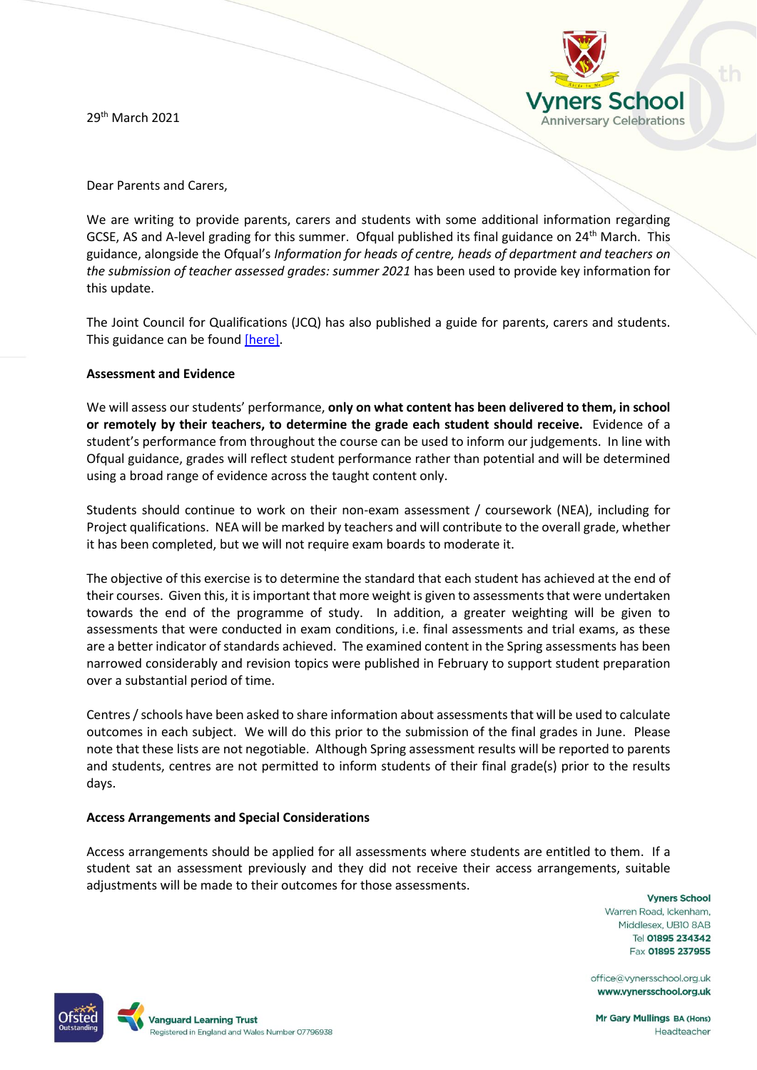29th March 2021



Dear Parents and Carers,

We are writing to provide parents, carers and students with some additional information regarding GCSE, AS and A-level grading for this summer. Ofqual published its final guidance on 24<sup>th</sup> March. This guidance, alongside the Ofqual's *Information for heads of centre, heads of department and teachers on the submission of teacher assessed grades: summer 2021* has been used to provide key information for this update.

The Joint Council for Qualifications (JCQ) has also published a guide for parents, carers and students. This guidance can be found [\[here\].](https://www.jcq.org.uk/wp-content/uploads/2021/03/JCQ-Guidance-for-Students-and-Parents-on-Summer-2021.pdf?_cldee=Z211bGxpbmdzQHZ5bmVyc3NjaG9vbC5vcmcudWs%3d&recipientid=contact-f337a699d00fe3118b7a984be16dae53-594e5709bb1547cba54312ff17890a2c&utm_source=ClickDimensions&utm_medium=email&utm_campaign=2021changes&esid=7b47085e-138e-eb11-b1ac-000d3a2a7271)

# **Assessment and Evidence**

We will assess our students' performance, **only on what content has been delivered to them, in school or remotely by their teachers, to determine the grade each student should receive.** Evidence of a student's performance from throughout the course can be used to inform our judgements. In line with Ofqual guidance, grades will reflect student performance rather than potential and will be determined using a broad range of evidence across the taught content only.

Students should continue to work on their non-exam assessment / coursework (NEA), including for Project qualifications. NEA will be marked by teachers and will contribute to the overall grade, whether it has been completed, but we will not require exam boards to moderate it.

The objective of this exercise is to determine the standard that each student has achieved at the end of their courses. Given this, it is important that more weight is given to assessments that were undertaken towards the end of the programme of study. In addition, a greater weighting will be given to assessments that were conducted in exam conditions, i.e. final assessments and trial exams, as these are a better indicator of standards achieved. The examined content in the Spring assessments has been narrowed considerably and revision topics were published in February to support student preparation over a substantial period of time.

Centres / schools have been asked to share information about assessments that will be used to calculate outcomes in each subject. We will do this prior to the submission of the final grades in June. Please note that these lists are not negotiable. Although Spring assessment results will be reported to parents and students, centres are not permitted to inform students of their final grade(s) prior to the results days.

#### **Access Arrangements and Special Considerations**

Access arrangements should be applied for all assessments where students are entitled to them. If a student sat an assessment previously and they did not receive their access arrangements, suitable adjustments will be made to their outcomes for those assessments.

**Vyners School** Warren Road, Ickenham, Middlesex, UB10 8AB Tel 01895 234342 Fax 01895 237955

office@vynersschool.org.uk www.vynersschool.org.uk



**Mr Gary Mullings BA (Hons)** Headteacher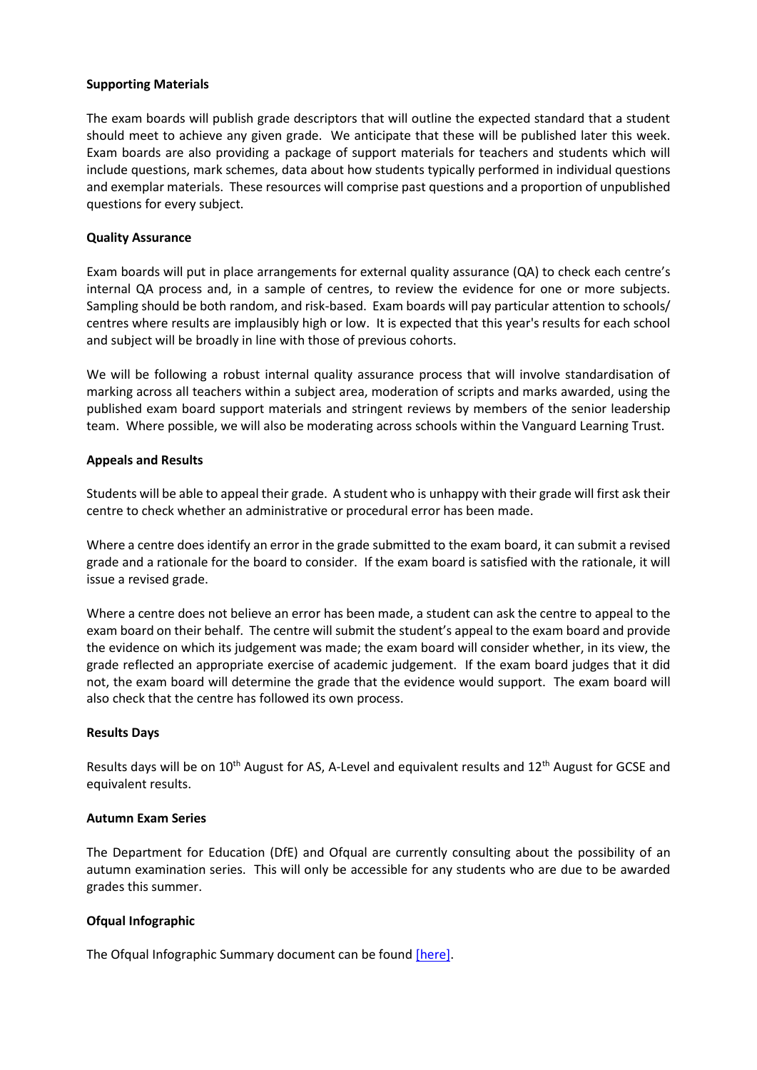### **Supporting Materials**

The exam boards will publish grade descriptors that will outline the expected standard that a student should meet to achieve any given grade. We anticipate that these will be published later this week. Exam boards are also providing a package of support materials for teachers and students which will include questions, mark schemes, data about how students typically performed in individual questions and exemplar materials. These resources will comprise past questions and a proportion of unpublished questions for every subject.

# **Quality Assurance**

Exam boards will put in place arrangements for external quality assurance (QA) to check each centre's internal QA process and, in a sample of centres, to review the evidence for one or more subjects. Sampling should be both random, and risk-based. Exam boards will pay particular attention to schools/ centres where results are implausibly high or low. It is expected that this year's results for each school and subject will be broadly in line with those of previous cohorts.

We will be following a robust internal quality assurance process that will involve standardisation of marking across all teachers within a subject area, moderation of scripts and marks awarded, using the published exam board support materials and stringent reviews by members of the senior leadership team. Where possible, we will also be moderating across schools within the Vanguard Learning Trust.

# **Appeals and Results**

Students will be able to appeal their grade. A student who is unhappy with their grade will first ask their centre to check whether an administrative or procedural error has been made.

Where a centre does identify an error in the grade submitted to the exam board, it can submit a revised grade and a rationale for the board to consider. If the exam board is satisfied with the rationale, it will issue a revised grade.

Where a centre does not believe an error has been made, a student can ask the centre to appeal to the exam board on their behalf. The centre will submit the student's appeal to the exam board and provide the evidence on which its judgement was made; the exam board will consider whether, in its view, the grade reflected an appropriate exercise of academic judgement. If the exam board judges that it did not, the exam board will determine the grade that the evidence would support. The exam board will also check that the centre has followed its own process.

#### **Results Days**

Results days will be on  $10^{th}$  August for AS, A-Level and equivalent results and  $12^{th}$  August for GCSE and equivalent results.

#### **Autumn Exam Series**

The Department for Education (DfE) and Ofqual are currently consulting about the possibility of an autumn examination series. This will only be accessible for any students who are due to be awarded grades this summer.

# **Ofqual Infographic**

The Ofqual Infographic Summary document can be found [\[here\].](https://assets.publishing.service.gov.uk/government/uploads/system/uploads/attachment_data/file/964613/Infographic_-_how_GCSEs__AS_and_A_levels_will_be_awarded_in_summer_2021.pdf)